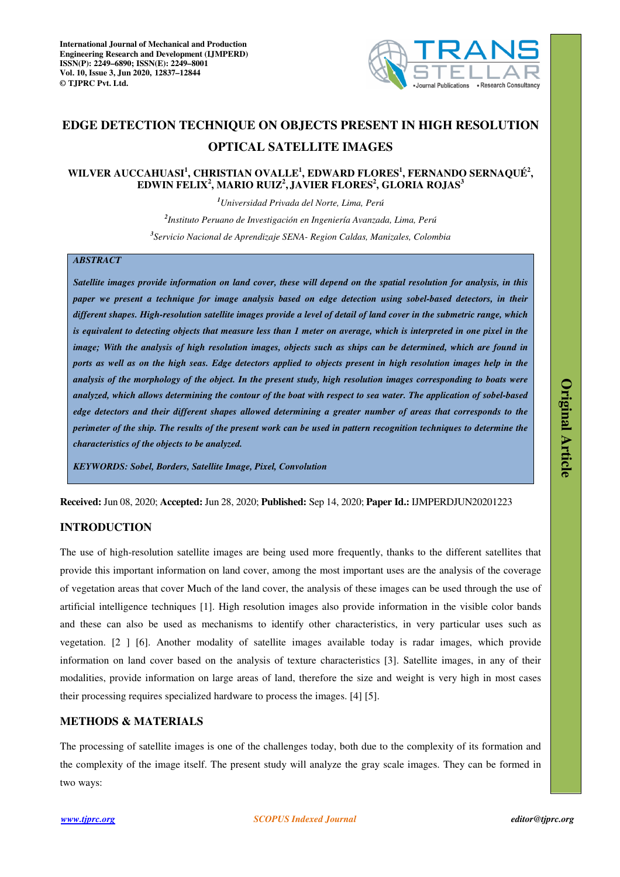

# **EDGE DETECTION TECHNIQUE ON OBJECTS PRESENT IN HIGH RESOLUTION OPTICAL SATELLITE IMAGES**

# **WILVER AUCCAHUASI<sup>1</sup> , CHRISTIAN OVALLE<sup>1</sup> , EDWARD FLORES<sup>1</sup> , FERNANDO SERNAQUÉ<sup>2</sup> , EDWIN FELIX<sup>2</sup> , MARIO RUIZ<sup>2</sup> , JAVIER FLORES<sup>2</sup> , GLORIA ROJAS<sup>3</sup>**

*<sup>1</sup>Universidad Privada del Norte, Lima, Perú* 

*2 Instituto Peruano de Investigación en Ingeniería Avanzada, Lima, Perú 3 Servicio Nacional de Aprendizaje SENA- Region Caldas, Manizales, Colombia* 

# *ABSTRACT*

*Satellite images provide information on land cover, these will depend on the spatial resolution for analysis, in this paper we present a technique for image analysis based on edge detection using sobel-based detectors, in their different shapes. High-resolution satellite images provide a level of detail of land cover in the submetric range, which is equivalent to detecting objects that measure less than 1 meter on average, which is interpreted in one pixel in the image; With the analysis of high resolution images, objects such as ships can be determined, which are found in ports as well as on the high seas. Edge detectors applied to objects present in high resolution images help in the analysis of the morphology of the object. In the present study, high resolution images corresponding to boats were analyzed, which allows determining the contour of the boat with respect to sea water. The application of sobel-based edge detectors and their different shapes allowed determining a greater number of areas that corresponds to the perimeter of the ship. The results of the present work can be used in pattern recognition techniques to determine the characteristics of the objects to be analyzed.* 

*KEYWORDS: Sobel, Borders, Satellite Image, Pixel, Convolution* 

**Received:** Jun 08, 2020; **Accepted:** Jun 28, 2020; **Published:** Sep 14, 2020; **Paper Id.:** IJMPERDJUN20201223

# **INTRODUCTION**

The use of high-resolution satellite images are being used more frequently, thanks to the different satellites that provide this important information on land cover, among the most important uses are the analysis of the coverage of vegetation areas that cover Much of the land cover, the analysis of these images can be used through the use of artificial intelligence techniques [1]. High resolution images also provide information in the visible color bands and these can also be used as mechanisms to identify other characteristics, in very particular uses such as vegetation. [2 ] [6]. Another modality of satellite images available today is radar images, which provide information on land cover based on the analysis of texture characteristics [3]. Satellite images, in any of their modalities, provide information on large areas of land, therefore the size and weight is very high in most cases their processing requires specialized hardware to process the images. [4] [5].

# **METHODS & MATERIALS**

The processing of satellite images is one of the challenges today, both due to the complexity of its formation and the complexity of the image itself. The present study will analyze the gray scale images. They can be formed in two ways: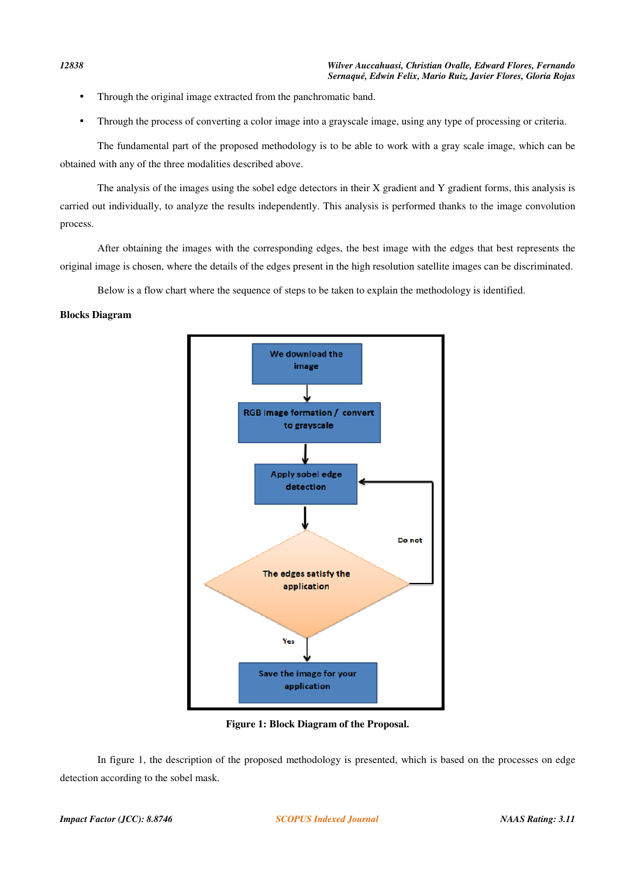- Through the original image extracted from the panchromatic band.
- Through the process of converting a color image into a grayscale image, using any type of processing or criteria.

The fundamental part of the proposed methodology is to be able to work with a gray scale image, which can be obtained with any of the three modalities described above.

The analysis of the images using the sobel edge detectors in their X gradient and Y gradient forms, this analysis is carried out individually, to analyze the results independently. This analysis is performed thanks to the image convolution process.

After obtaining the images with the corresponding edges, the best image with the edges that best represents the original image is chosen, where the details of the edges present in the high resolution satellite images can be discriminated.

Below is a flow chart where the sequence of steps to be taken to explain the methodology is identified.

# **Blocks Diagram**



**Figure 1: Block Diagram of the Proposal.** 

In figure 1, the description of the proposed methodology is presented, which is based on the processes on edge detection according to the sobel mask.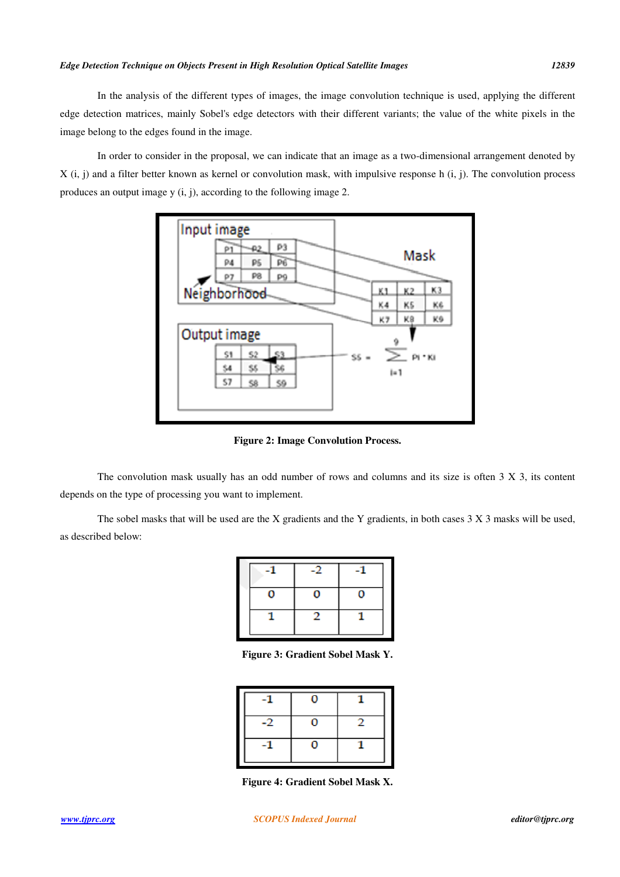### *Edge Detection Technique on Objects Present in High Resolution Optical Satellite Images 12839*

In the analysis of the different types of images, the image convolution technique is used, applying the different edge detection matrices, mainly Sobel's edge detectors with their different variants; the value of the white pixels in the image belong to the edges found in the image.

In order to consider in the proposal, we can indicate that an image as a two-dimensional arrangement denoted by  $X$  (i, j) and a filter better known as kernel or convolution mask, with impulsive response h (i, j). The convolution process produces an output image y (i, j), according to the following image 2.



**Figure 2: Image Convolution Process.** 

The convolution mask usually has an odd number of rows and columns and its size is often 3 X 3, its content depends on the type of processing you want to implement.

The sobel masks that will be used are the X gradients and the Y gradients, in both cases 3 X 3 masks will be used, as described below:

**Figure 3: Gradient Sobel Mask Y.** 

| D |  |
|---|--|
|   |  |

**Figure 4: Gradient Sobel Mask X.**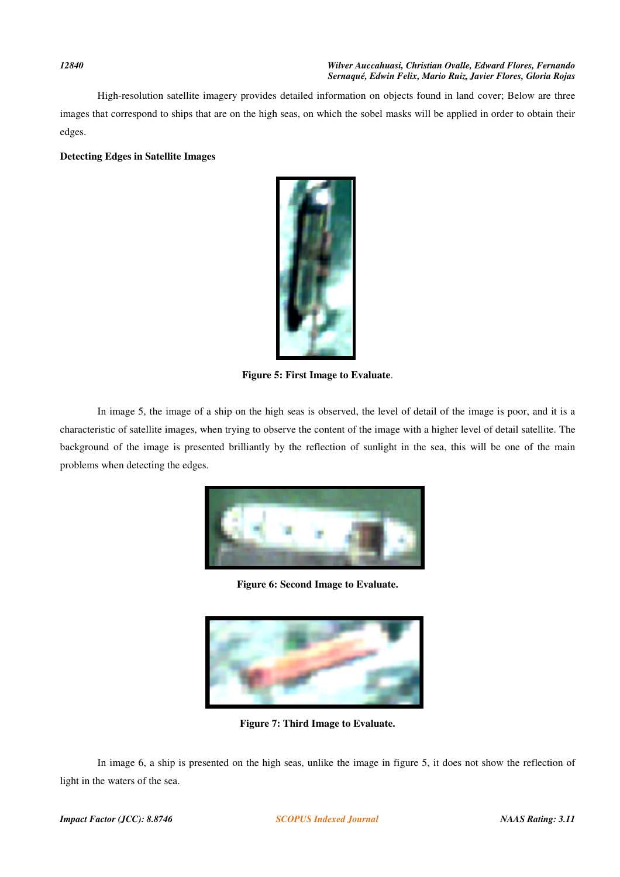#### *12840 Wilver Auccahuasi, Christian Ovalle, Edward Flores, Fernando Sernaqué, Edwin Felix, Mario Ruiz, Javier Flores, Gloria Rojas*

High-resolution satellite imagery provides detailed information on objects found in land cover; Below are three images that correspond to ships that are on the high seas, on which the sobel masks will be applied in order to obtain their edges.

# **Detecting Edges in Satellite Images**



**Figure 5: First Image to Evaluate**.

In image 5, the image of a ship on the high seas is observed, the level of detail of the image is poor, and it is a characteristic of satellite images, when trying to observe the content of the image with a higher level of detail satellite. The background of the image is presented brilliantly by the reflection of sunlight in the sea, this will be one of the main problems when detecting the edges.



**Figure 6: Second Image to Evaluate.** 



**Figure 7: Third Image to Evaluate.** 

In image 6, a ship is presented on the high seas, unlike the image in figure 5, it does not show the reflection of light in the waters of the sea.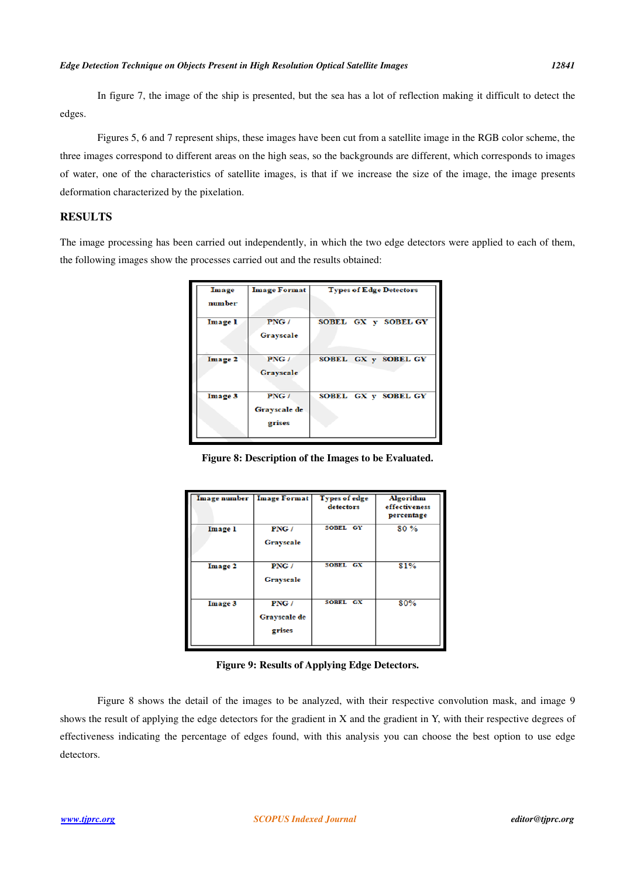In figure 7, the image of the ship is presented, but the sea has a lot of reflection making it difficult to detect the edges.

Figures 5, 6 and 7 represent ships, these images have been cut from a satellite image in the RGB color scheme, the three images correspond to different areas on the high seas, so the backgrounds are different, which corresponds to images of water, one of the characteristics of satellite images, is that if we increase the size of the image, the image presents deformation characterized by the pixelation.

# **RESULTS**

The image processing has been carried out independently, in which the two edge detectors were applied to each of them, the following images show the processes carried out and the results obtained:

| Image          | <b>Image Format</b>            | <b>Types of Edge Detectors</b> |  |
|----------------|--------------------------------|--------------------------------|--|
| number         |                                |                                |  |
| <b>Image 1</b> | PNG /<br>Grayscale             | SOBEL GX y SOBEL GY            |  |
| Image 2        | PNG /<br>Grayscale             | SOBEL GX y SOBEL GY            |  |
| Image 3        | PNG/<br>Grayscale de<br>grises | SOBEL GX y SOBEL GY            |  |

**Figure 8: Description of the Images to be Evaluated.** 

|                | Image number   Image Format    | <b>Types of edge</b><br>detectors | <b>Algorithm</b><br>effectiveness<br>percentage |
|----------------|--------------------------------|-----------------------------------|-------------------------------------------------|
| <b>Image 1</b> | PNG/<br>Grayscale              | SOBEL GY                          | 80%                                             |
| Image 2        | PNG/<br><b>Grayscale</b>       | SOBEL GX                          | 81%                                             |
| Image 3        | PNG/<br>Grayscale de<br>grises | SOBEL GX                          | 80%                                             |

**Figure 9: Results of Applying Edge Detectors.** 

Figure 8 shows the detail of the images to be analyzed, with their respective convolution mask, and image 9 shows the result of applying the edge detectors for the gradient in X and the gradient in Y, with their respective degrees of effectiveness indicating the percentage of edges found, with this analysis you can choose the best option to use edge detectors.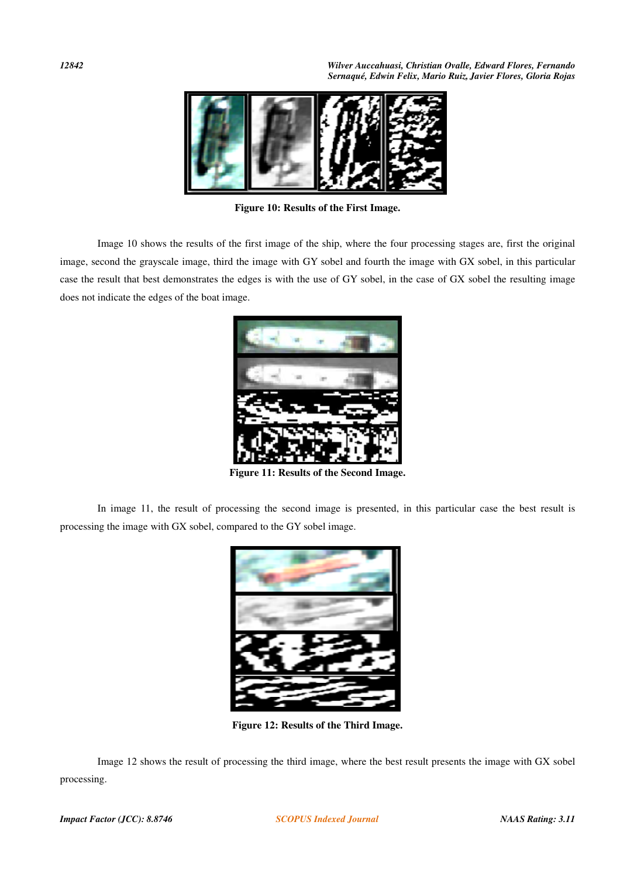*12842 Wilver Auccahuasi, Christian Ovalle, Edward Flores, Fernando Sernaqué, Edwin Felix, Mario Ruiz, Javier Flores, Gloria Rojas* 



**Figure 10: Results of the First Image.** 

Image 10 shows the results of the first image of the ship, where the four processing stages are, first the original image, second the grayscale image, third the image with GY sobel and fourth the image with GX sobel, in this particular case the result that best demonstrates the edges is with the use of GY sobel, in the case of GX sobel the resulting image does not indicate the edges of the boat image.



**Figure 11: Results of the Second Image.** 

In image 11, the result of processing the second image is presented, in this particular case the best result is processing the image with GX sobel, compared to the GY sobel image.



**Figure 12: Results of the Third Image.** 

Image 12 shows the result of processing the third image, where the best result presents the image with GX sobel processing.